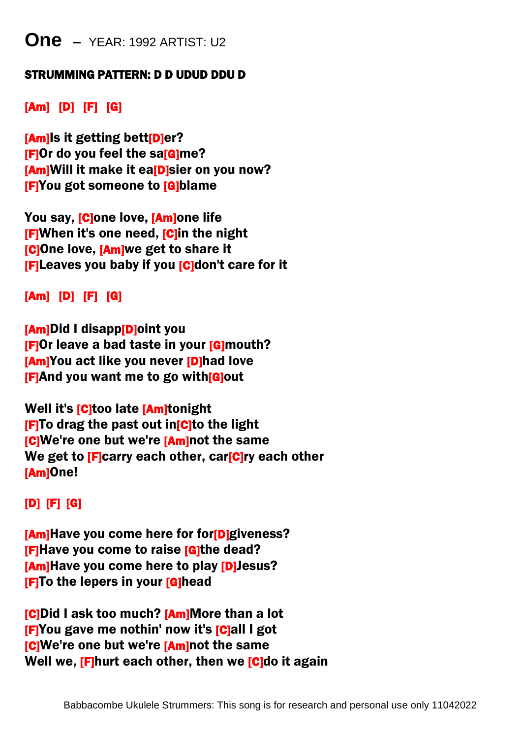## **One –** YEAR: 1992 ARTIST: U2

#### STRUMMING PATTERN: D D UDUD DDU D

### [Am] [D] [F] [G]

[Am]Is it getting bett[D]er? **[F]Or do you feel the sa[G]me?** [Am]Will it make it ea<br />
Internal on you now? [F]You got someone to [G]blame

You say, **[C**]one love, **[Am]one life [F]When it's one need, [C]in the night [C]One love, [Am]we get to share it [F]Leaves you baby if you [C]don't care for it** 

#### [Am] [D] [F] [G]

[Am]Did I disapp[D]oint you **[F]Or leave a bad taste in your [G]mouth? [Am]You act like you never [D]had love** [F]And you want me to go with[G]out

Well it's **[C**]too late **[Am]tonight [F]To drag the past out in[C]to the light [C]We're one but we're [Am]not the same** We get to **[F]carry each other, car[C]ry each other** [Am]One!

#### [D] [F] [G]

**[Am]Have you come here for for[D]giveness? [F]Have you come to raise [G]the dead?** [Am]Have you come here to play [D]Jesus? **[F]To the lepers in your [G]head** 

**[C]Did I ask too much? [Am]More than a lot** [F]You gave me nothin' now it's [C]all I got **[C]We're one but we're [Am]not the same** Well we, [F]hurt each other, then we [C]do it again